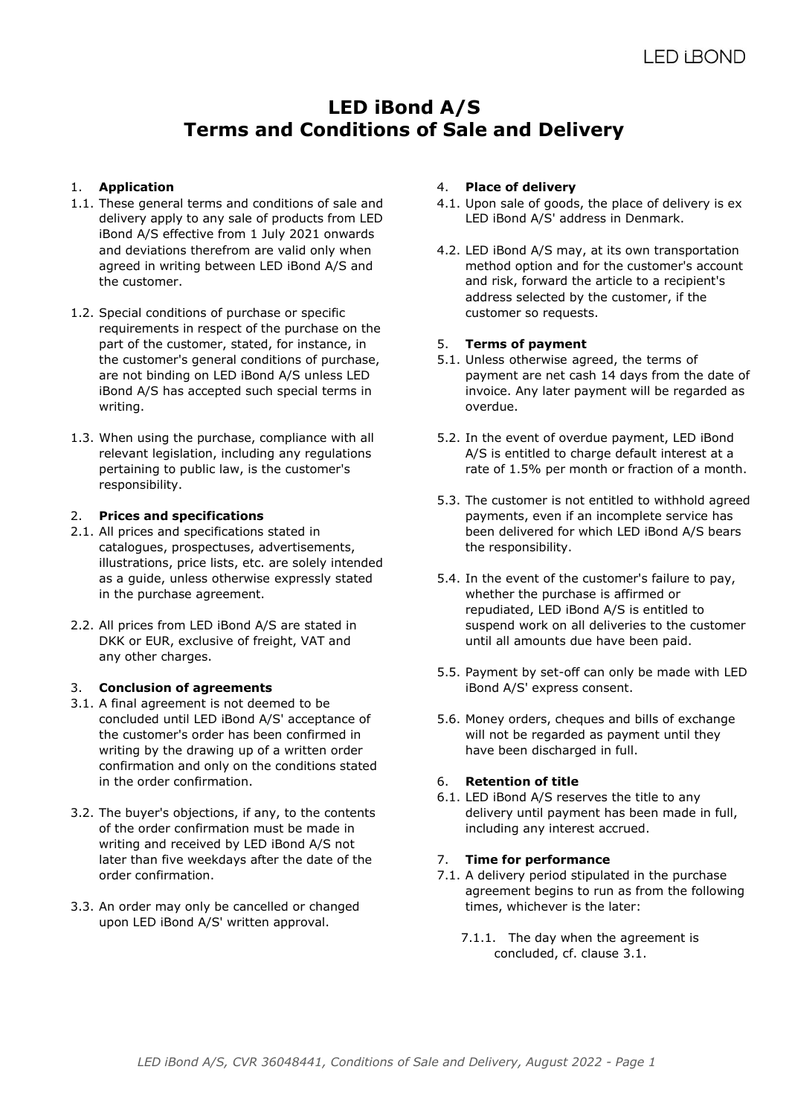# **LED iBond A/S Terms and Conditions of Sale and Delivery**

# 1. **Application**

- 1.1. These general terms and conditions of sale and delivery apply to any sale of products from LED iBond A/S effective from 1 July 2021 onwards and deviations therefrom are valid only when agreed in writing between LED iBond A/S and the customer.
- 1.2. Special conditions of purchase or specific requirements in respect of the purchase on the part of the customer, stated, for instance, in the customer's general conditions of purchase, are not binding on LED iBond A/S unless LED iBond A/S has accepted such special terms in writing.
- 1.3. When using the purchase, compliance with all relevant legislation, including any regulations pertaining to public law, is the customer's responsibility.

### 2. **Prices and specifications**

- 2.1. All prices and specifications stated in catalogues, prospectuses, advertisements, illustrations, price lists, etc. are solely intended as a guide, unless otherwise expressly stated in the purchase agreement.
- 2.2. All prices from LED iBond A/S are stated in DKK or EUR, exclusive of freight, VAT and any other charges.

## 3. **Conclusion of agreements**

- 3.1. A final agreement is not deemed to be concluded until LED iBond A/S' acceptance of the customer's order has been confirmed in writing by the drawing up of a written order confirmation and only on the conditions stated in the order confirmation.
- 3.2. The buyer's objections, if any, to the contents of the order confirmation must be made in writing and received by LED iBond A/S not later than five weekdays after the date of the order confirmation.
- 3.3. An order may only be cancelled or changed upon LED iBond A/S' written approval.

### 4. **Place of delivery**

- 4.1. Upon sale of goods, the place of delivery is ex LED iBond A/S' address in Denmark.
- 4.2. LED iBond A/S may, at its own transportation method option and for the customer's account and risk, forward the article to a recipient's address selected by the customer, if the customer so requests.

### 5. **Terms of payment**

- 5.1. Unless otherwise agreed, the terms of payment are net cash 14 days from the date of invoice. Any later payment will be regarded as overdue.
- 5.2. In the event of overdue payment, LED iBond A/S is entitled to charge default interest at a rate of 1.5% per month or fraction of a month.
- 5.3. The customer is not entitled to withhold agreed payments, even if an incomplete service has been delivered for which LED iBond A/S bears the responsibility.
- 5.4. In the event of the customer's failure to pay, whether the purchase is affirmed or repudiated, LED iBond A/S is entitled to suspend work on all deliveries to the customer until all amounts due have been paid.
- 5.5. Payment by set-off can only be made with LED iBond A/S' express consent.
- 5.6. Money orders, cheques and bills of exchange will not be regarded as payment until they have been discharged in full.

#### 6. **Retention of title**

6.1. LED iBond A/S reserves the title to any delivery until payment has been made in full, including any interest accrued.

#### 7. **Time for performance**

- 7.1. A delivery period stipulated in the purchase agreement begins to run as from the following times, whichever is the later:
	- 7.1.1. The day when the agreement is concluded, cf. clause 3.1.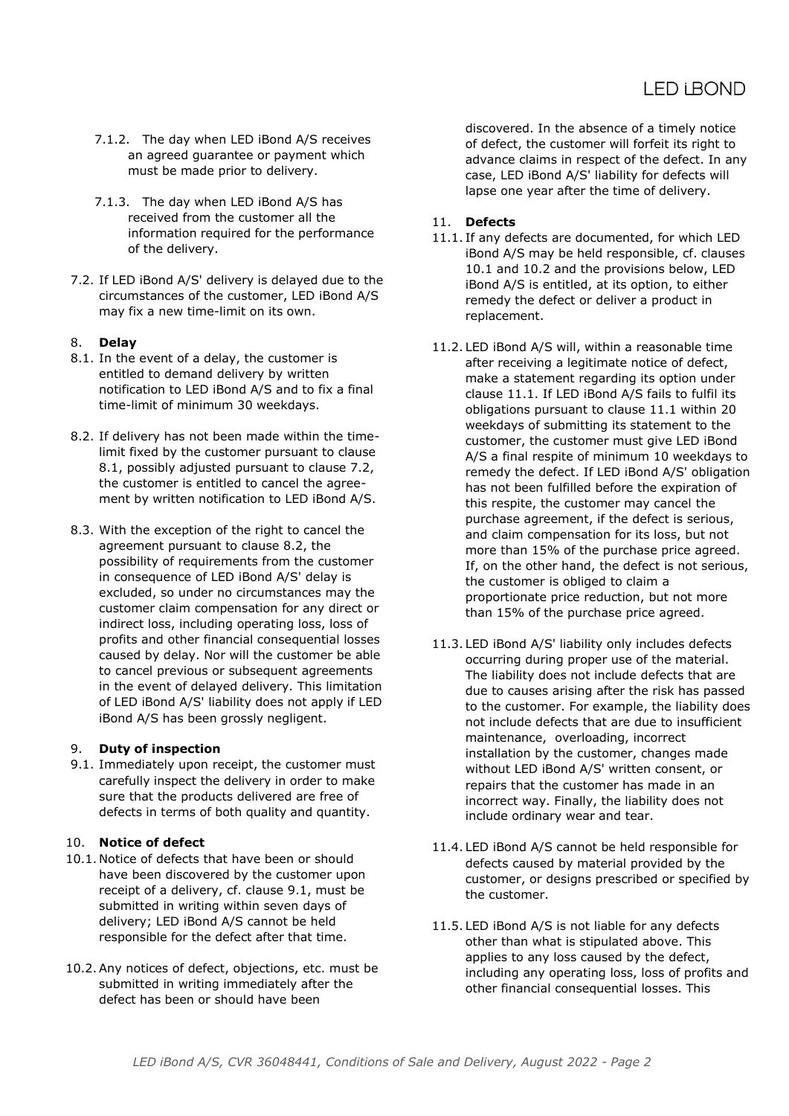- 7.1.2. The day when LED iBond A/S receives an agreed guarantee or payment which must be made prior to delivery.
- 7.1.3. The day when LED iBond A/S has received from the customer all the information required for the performance of the delivery.
- 7.2. If LED iBond A/S' delivery is delayed due to the circumstances of the customer, LED iBond A/S may fix a new time-limit on its own.

# 8. **Delay**

- 8.1. In the event of a delay, the customer is entitled to demand delivery by written notification to LED iBond A/S and to fix a final time-limit of minimum 30 weekdays.
- 8.2. If delivery has not been made within the timelimit fixed by the customer pursuant to clause 8.1, possibly adjusted pursuant to clause 7.2, the customer is entitled to cancel the agreement by written notification to LED iBond A/S.
- 8.3. With the exception of the right to cancel the agreement pursuant to clause 8.2, the possibility of requirements from the customer in consequence of LED iBond A/S' delay is excluded, so under no circumstances may the customer claim compensation for any direct or indirect loss, including operating loss, loss of profits and other financial consequential losses caused by delay. Nor will the customer be able to cancel previous or subsequent agreements in the event of delayed delivery. This limitation of LED iBond A/S' liability does not apply if LED iBond A/S has been grossly negligent.

## 9. **Duty of inspection**

9.1. Immediately upon receipt, the customer must carefully inspect the delivery in order to make sure that the products delivered are free of defects in terms of both quality and quantity.

## 10. **Notice of defect**

- 10.1. Notice of defects that have been or should have been discovered by the customer upon receipt of a delivery, cf. clause 9.1, must be submitted in writing within seven days of delivery; LED iBond A/S cannot be held responsible for the defect after that time.
- 10.2. Any notices of defect, objections, etc. must be submitted in writing immediately after the defect has been or should have been

discovered. In the absence of a timely notice of defect, the customer will forfeit its right to advance claims in respect of the defect. In any case, LED iBond A/S' liability for defects will lapse one year after the time of delivery.

# 11. **Defects**

- 11.1. If any defects are documented, for which LED iBond A/S may be held responsible, cf. clauses 10.1 and 10.2 and the provisions below, LED iBond A/S is entitled, at its option, to either remedy the defect or deliver a product in replacement.
- 11.2. LED iBond A/S will, within a reasonable time after receiving a legitimate notice of defect, make a statement regarding its option under clause 11.1. If LED iBond A/S fails to fulfil its obligations pursuant to clause 11.1 within 20 weekdays of submitting its statement to the customer, the customer must give LED iBond A/S a final respite of minimum 10 weekdays to remedy the defect. If LED iBond A/S' obligation has not been fulfilled before the expiration of this respite, the customer may cancel the purchase agreement, if the defect is serious, and claim compensation for its loss, but not more than 15% of the purchase price agreed. If, on the other hand, the defect is not serious, the customer is obliged to claim a proportionate price reduction, but not more than 15% of the purchase price agreed.
- 11.3. LED iBond A/S' liability only includes defects occurring during proper use of the material. The liability does not include defects that are due to causes arising after the risk has passed to the customer. For example, the liability does not include defects that are due to insufficient maintenance, overloading, incorrect installation by the customer, changes made without LED iBond A/S' written consent, or repairs that the customer has made in an incorrect way. Finally, the liability does not include ordinary wear and tear.
- 11.4. LED iBond A/S cannot be held responsible for defects caused by material provided by the customer, or designs prescribed or specified by the customer.
- 11.5. LED iBond A/S is not liable for any defects other than what is stipulated above. This applies to any loss caused by the defect, including any operating loss, loss of profits and other financial consequential losses. This